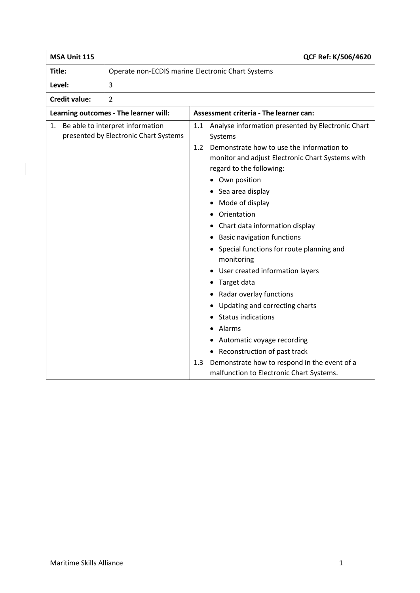| MSA Unit 115<br>QCF Ref: K/506/4620               |                                                                                                                                                                                                                                                                                                                                                                                                                                                                                                                                                                                                                                                                                                             |  |
|---------------------------------------------------|-------------------------------------------------------------------------------------------------------------------------------------------------------------------------------------------------------------------------------------------------------------------------------------------------------------------------------------------------------------------------------------------------------------------------------------------------------------------------------------------------------------------------------------------------------------------------------------------------------------------------------------------------------------------------------------------------------------|--|
| Operate non-ECDIS marine Electronic Chart Systems |                                                                                                                                                                                                                                                                                                                                                                                                                                                                                                                                                                                                                                                                                                             |  |
| 3                                                 |                                                                                                                                                                                                                                                                                                                                                                                                                                                                                                                                                                                                                                                                                                             |  |
| $\overline{2}$                                    |                                                                                                                                                                                                                                                                                                                                                                                                                                                                                                                                                                                                                                                                                                             |  |
|                                                   | Assessment criteria - The learner can:                                                                                                                                                                                                                                                                                                                                                                                                                                                                                                                                                                                                                                                                      |  |
|                                                   | Analyse information presented by Electronic Chart<br>1.1<br>Systems<br>Demonstrate how to use the information to<br>1.2<br>monitor and adjust Electronic Chart Systems with<br>regard to the following:<br>Own position<br>Sea area display<br>Mode of display<br>$\bullet$<br>Orientation<br>Chart data information display<br><b>Basic navigation functions</b><br>Special functions for route planning and<br>monitoring<br>User created information layers<br>Target data<br>Radar overlay functions<br>Updating and correcting charts<br><b>Status indications</b><br>Alarms<br>Automatic voyage recording<br>Reconstruction of past track<br>٠<br>Demonstrate how to respond in the event of a<br>1.3 |  |
|                                                   | malfunction to Electronic Chart Systems.                                                                                                                                                                                                                                                                                                                                                                                                                                                                                                                                                                                                                                                                    |  |
|                                                   | Learning outcomes - The learner will:<br>1. Be able to interpret information<br>presented by Electronic Chart Systems                                                                                                                                                                                                                                                                                                                                                                                                                                                                                                                                                                                       |  |

 $\overline{\phantom{a}}$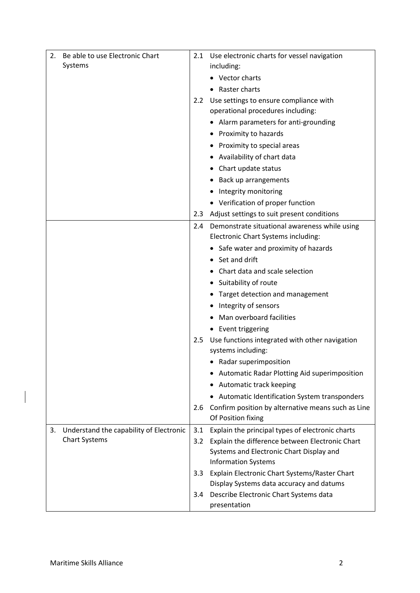| Be able to use Electronic Chart<br>2.                                 |            | 2.1 Use electronic charts for vessel navigation                                                     |
|-----------------------------------------------------------------------|------------|-----------------------------------------------------------------------------------------------------|
| Systems                                                               |            | including:                                                                                          |
|                                                                       |            | Vector charts                                                                                       |
|                                                                       |            | Raster charts                                                                                       |
|                                                                       | 2.2        | Use settings to ensure compliance with                                                              |
|                                                                       |            | operational procedures including:                                                                   |
|                                                                       |            | • Alarm parameters for anti-grounding                                                               |
|                                                                       |            | • Proximity to hazards                                                                              |
|                                                                       |            | • Proximity to special areas                                                                        |
|                                                                       |            | • Availability of chart data                                                                        |
|                                                                       |            | Chart update status                                                                                 |
|                                                                       |            | Back up arrangements                                                                                |
|                                                                       |            | Integrity monitoring                                                                                |
|                                                                       |            | • Verification of proper function                                                                   |
|                                                                       |            | 2.3 Adjust settings to suit present conditions                                                      |
|                                                                       | 2.4        | Demonstrate situational awareness while using                                                       |
|                                                                       |            | Electronic Chart Systems including:                                                                 |
|                                                                       |            | • Safe water and proximity of hazards                                                               |
|                                                                       |            | • Set and drift                                                                                     |
|                                                                       |            | Chart data and scale selection                                                                      |
|                                                                       |            | • Suitability of route                                                                              |
|                                                                       |            | Target detection and management                                                                     |
|                                                                       |            | Integrity of sensors                                                                                |
|                                                                       |            | Man overboard facilities                                                                            |
|                                                                       |            | • Event triggering                                                                                  |
|                                                                       | 2.5        | Use functions integrated with other navigation                                                      |
|                                                                       |            | systems including:                                                                                  |
|                                                                       |            | • Radar superimposition                                                                             |
|                                                                       |            | Automatic Radar Plotting Aid superimposition                                                        |
|                                                                       |            | Automatic track keeping<br>٠                                                                        |
|                                                                       |            | Automatic Identification System transponders                                                        |
|                                                                       | 2.6        | Confirm position by alternative means such as Line<br>Of Position fixing                            |
|                                                                       |            |                                                                                                     |
| Understand the capability of Electronic<br>3.<br><b>Chart Systems</b> | 3.1<br>3.2 | Explain the principal types of electronic charts<br>Explain the difference between Electronic Chart |
|                                                                       |            | Systems and Electronic Chart Display and                                                            |
|                                                                       |            | <b>Information Systems</b>                                                                          |
|                                                                       | 3.3        | Explain Electronic Chart Systems/Raster Chart                                                       |
|                                                                       |            | Display Systems data accuracy and datums                                                            |
|                                                                       | 3.4        | Describe Electronic Chart Systems data                                                              |
|                                                                       |            | presentation                                                                                        |

 $\overline{\phantom{a}}$